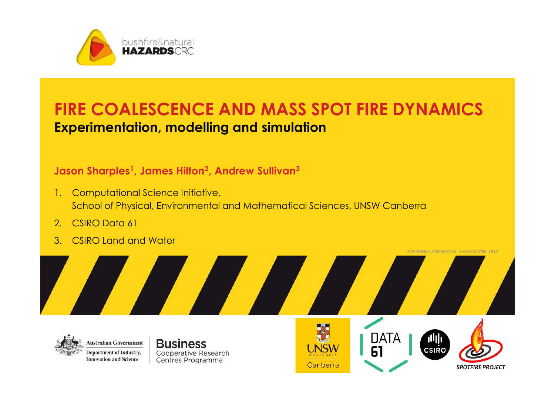

### **FIRE COALESCENCE AND MASS SPOT FIRE DYNAMICS Experimentation, modelling and simulation**

#### **Jason Sharples<sup>1</sup> , James Hilton<sup>2</sup> , Andrew Sullivan<sup>3</sup>**

- 1. Computational Science Initiative, School of Physical, Environmental and Mathematical Sciences, UNSW Canberra
- 2. CSIRO Data 61
- 3. CSIRO Land and Water



**Business** Cooperative Research Centres Programme



**DATA** 



© BUSHFIRE AND NATURAL HAZARDS CRC 2017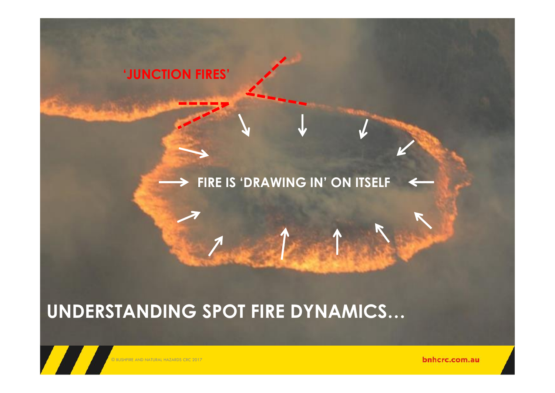

© BUSHFIRE AND NATURAL HAZARDS CRC 2017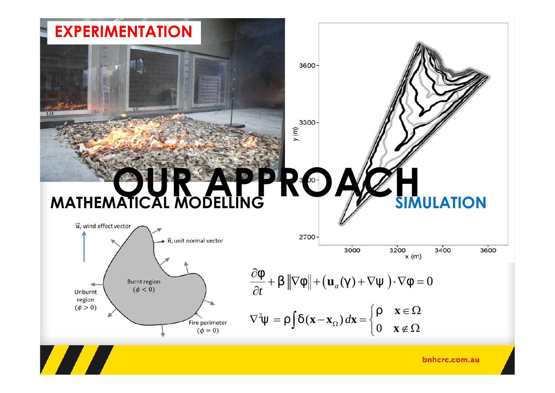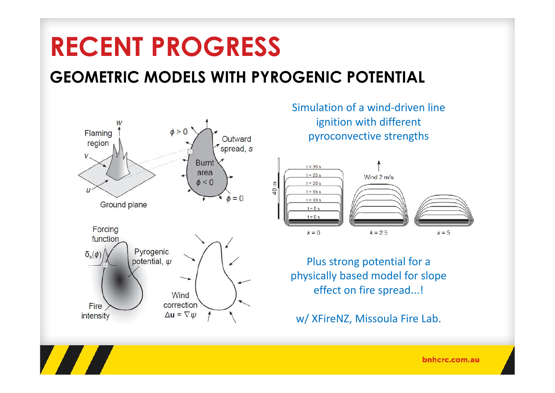### **GEOMETRIC MODELS WITH PYROGENIC POTENTIAL**



**TALL** 

Simulation of a wind-driven line ignition with different pyroconvective strengths



Plus strong potential for a physically based model for slope effect on fire spread...!

w/ XFireNZ, Missoula Fire Lab.

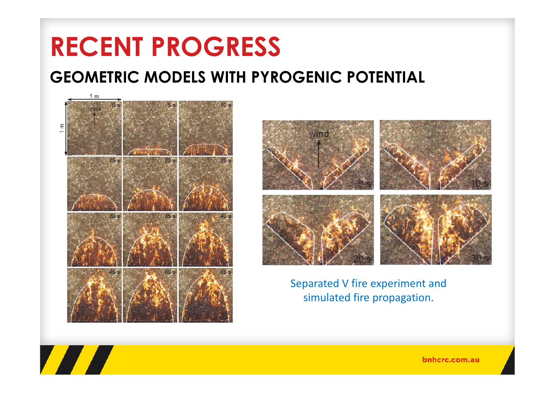### **GEOMETRIC MODELS WITH PYROGENIC POTENTIAL**



**TANA** 



Separated V fire experiment and simulated fire propagation.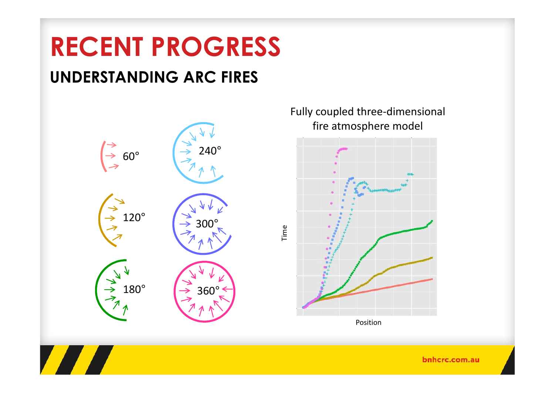### **UNDERSTANDING ARC FIRES**



Fully coupled three-dimensional fire atmosphere model Position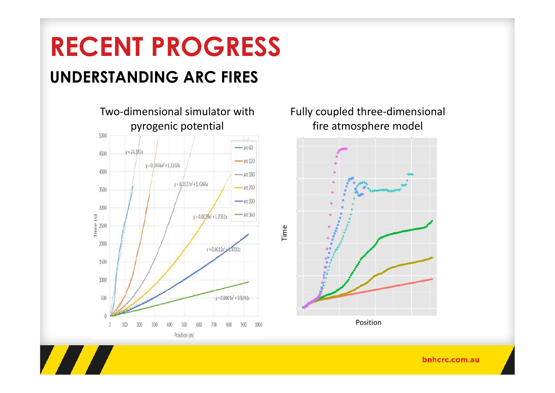### **RECENT PROGRESS UNDERSTANDING ARC FIRES**



#### Fully coupled three-dimensional fire atmosphere model

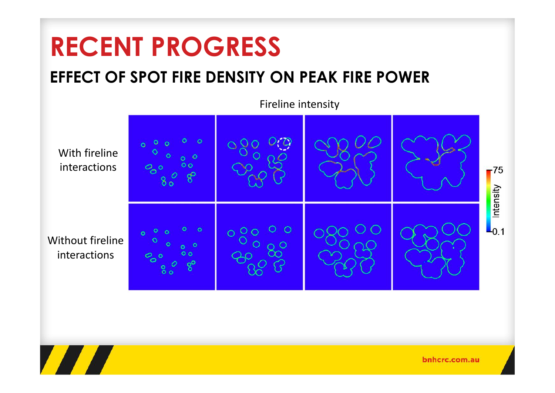### **EFFECT OF SPOT FIRE DENSITY ON PEAK FIRE POWER**



**TANA**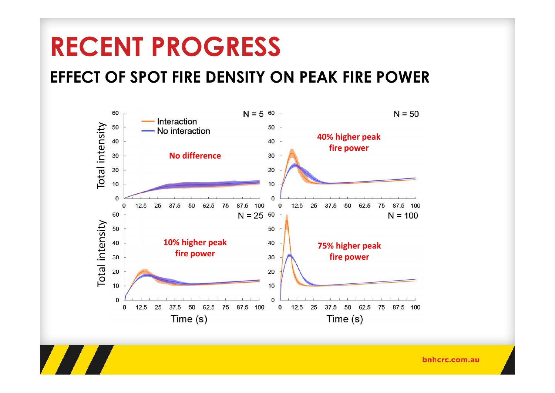**TANA** 

### **EFFECT OF SPOT FIRE DENSITY ON PEAK FIRE POWER**

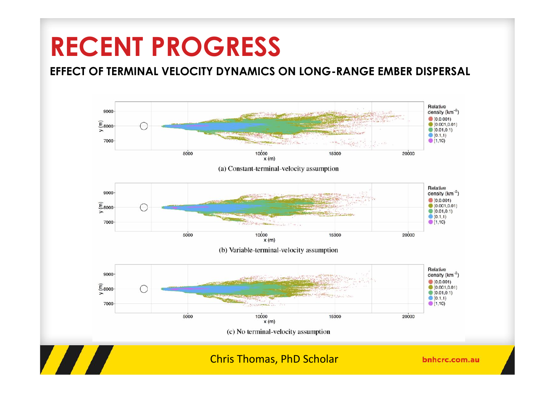#### **EFFECT OF TERMINAL VELOCITY DYNAMICS ON LONG-RANGE EMBER DISPERSAL**

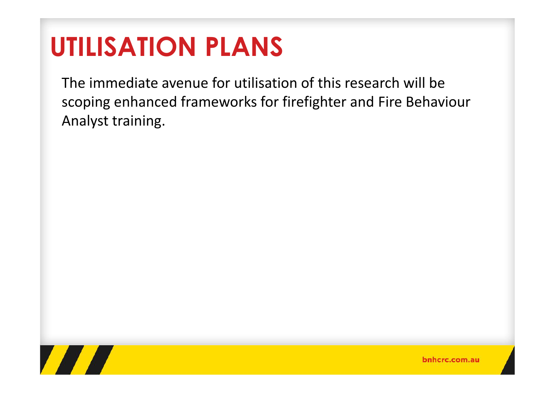# **UTILISATION PLANS**

The immediate avenue for utilisation of this research will be scoping enhanced frameworks for firefighter and Fire Behaviour Analyst training.

This research will inform advanced firefighter training on extreme and

The research will enable a better representation of 'fire danger', with